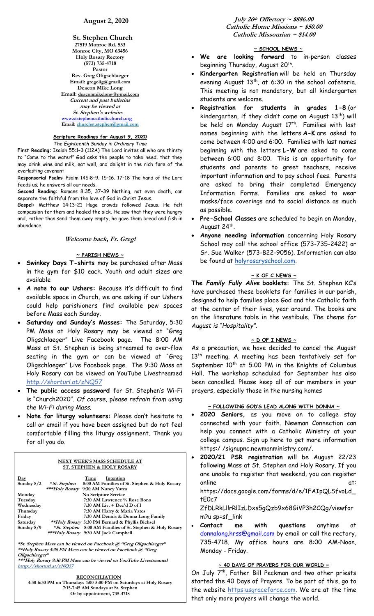**St. Stephen Church 27519 Monroe Rd. 533 Monroe City, MO 63456 Holy Rosary Rectory (573) 735-4718 Pastor Rev. Greg Oligschlaeger Email: gregolig@gmail.com Deacon Mike Long Email: deaconmikelong@gmail.com Current and past bulletins may be viewed at St. Stephen's website: [www.ststephencatholicchurch.org](http://www.ststephencatholicchurch.org/) Email: [churchst.stephen@gmail.com](mailto:churchst.stephen@gmail.com)**

#### **Scripture Readings for August 9, 2020** *The Eighteenth Sunday in Ordinary Time*

**First Reading:** Isaiah 55:1–3 (112A) The Lord invites all who are thirsty to "Come to the water!" God asks the people to take heed, that they may drink wine and milk, eat well, and delight in the rich fare of the everlasting covenant

R**esponsorial Psalm:** Psalm 145:8–9, 15–16, 17–18 The hand of the Lord feeds us; he answers all our needs.

**Second Reading:** Romans 8:35, 37–39 Nothing, not even death, can separate the faithful from the love of God in Christ Jesus.

**Gospel:** Matthew 14:13–21 Huge crowds followed Jesus. He felt compassion for them and healed the sick. He saw that they were hungry and, rather than send them away empty, he gave them bread and fish in abundance.

### **Welcome back, Fr. Greg!**

### **~ PARISH NEWS ~**

- **Swinkey Days T-shirts** may be purchased after Mass in the gym for \$10 each. Youth and adult sizes are available
- **A note to our Ushers:** Because it's difficult to find available space in Church, we are asking if our Ushers could help parishioners find available pew spaces before Mass each Sunday.
- **Saturday and Sunday's Masses:** The Saturday, 5:30 PM Mass at Holy Rosary may be viewed at "Greg Oligschlaeger" Live Facebook page. The 8:00 AM Mass at St. Stephen is being streamed to over-flow seating in the gym or can be viewed at "Greg Oligschlaeger" Live Facebook page. The 9:30 Mass at Holy Rosary can be viewed on YouTube Livestreamed *http://shorturl.at/zNQ57*
- **The public access password** for St. Stephen's Wi-Fi is "Church2020". *Of course,* p*lease refrain from using the Wi-Fi during Mass.*
- **Note for liturgy volunteers:** Please don't hesitate to call or email if you have been assigned but do not feel comfortable filling the liturgy assignment. Thank you for all you do.

| NEXT WEEK'S MASS SCHEDULE AT<br><b>ST. STEPHEN &amp; HOLY ROSARY</b> |                                                                |  |  |
|----------------------------------------------------------------------|----------------------------------------------------------------|--|--|
| $_{\text{Day}}$                                                      | Time<br>Intention                                              |  |  |
| Sunday $8/2$                                                         | 8:00 AM Families of St. Stephen & Holy Rosary<br>* St. Stephen |  |  |
|                                                                      | ***Holy Rosary 9:30 AM Nancy Yates                             |  |  |
| Monday                                                               | No Scripture Service                                           |  |  |
| Tuesday                                                              | 7:30 AM Lawrence % Rose Bono                                   |  |  |
| Wednesday                                                            | $7:30$ AM Liv. $+$ Dec'd D of I                                |  |  |
| Thursday                                                             | 7:30 AM Harry & Maria Yates                                    |  |  |
| Friday                                                               | 7:30 AM Dennis & Donna Long Family                             |  |  |
| Saturday                                                             | **Holy Rosary 5:30 PM Bernard & Phyllis Bichsel                |  |  |
| Sunday $8/9$                                                         | *St. Stephen 8:00 AM Families of St. Stephen & Holy Rosary     |  |  |
|                                                                      | ***Holy Rosary 9:30 AM Jack Campbell                           |  |  |

**\*St. Stephen Mass can be viewed on Facebook @ "Greg Oligschlaeger" \*\*Holy Rosary 5:30 PM Mass can be viewed on Facebook @ "Greg Oligschlaeger"**

**\*\*\*Holy Rosary 9:30 PM Mass can be viewed on YouTube Livestreamed htttp://shorturl.at/zNQ57** 

### **RECONCILIATION**

**4:30-6:30 PM on Thursdays 4:00-5:00 PM on Saturdays at Holy Rosary 7:15-7:45 AM Sundays at St. Stephen Or by appointment, 735-4718**

**July 26th Offertory ~ \$886.00 Catholic Home Missions ~ \$50.00 Catholic Missourian ~ \$14.00**

## **~ SCHOOL NEWS ~**

• **We are looking forward** to in-person classes beginning Thursday, August 20<sup>th</sup>.

- **Kindergarten Registration** will be held on Thursday evening August  $13<sup>th</sup>$ , at 6:30 in the school cafeteria. This meeting is not mandatory, but all kindergarten students are welcome.
- **Registration for students in grades 1-8** (or kindergarten, if they didn't come on August 13th) will be held on Monday August 17<sup>th</sup>. Families with last names beginning with the letters **A-K** are asked to come between 4:00 and 6:00. Families with last names beginning with the letters **L-W** are asked to come between 6:00 and 8:00. This is an opportunity for students and parents to greet teachers, receive important information and to pay school fees. Parents are asked to bring their completed Emergency Information Forms. Families are asked to wear masks/face coverings and to social distance as much as possible.
- **Pre-School Classes** are scheduled to begin on Monday, August 24<sup>th</sup>.
- **Anyone needing information** concerning Holy Rosary School may call the school office (573-735-2422) or Sr. Sue Walker (573-822-9056). Information can also be found at [holyrosaryschool.com.](http://holyrosaryschool.com/)

## **~ K OF C NEWS ~**

**The** *Family Fully Alive* **booklets:** The St. Stephen KC's have purchased these booklets for families in our parish, designed to help families place God and the Catholic faith at the center of their lives, year around. The books are on the literature table in the vestibule. *The theme for August is "Hospitality"*.

## **~ D OF I NEWS ~**

As a precaution, we have decided to cancel the August 13<sup>th</sup> meeting. A meeting has been tentatively set for September  $10^{th}$  at 5:00 PM in the Knights of Columbus Hall. The workshop scheduled for September has also been cancelled. Please keep all of our members in your prayers, especially those in the nursing homes

## **~ FOLLOWING GOD'S LEAD ALONG WITH DONNA ~**

- **2020 Seniors,** as you move on to college stay connected with your faith. Newman Connection can help you connect with a Catholic Ministry at your college campus. Sign up here to get more information https:/ /signupnc.newmanministry.com/.
- **2020/21 PSR registration** will be August 22/23 following Mass at St. Stephen and Holy Rosary. If you are unable to register that weekend, you can register online at:

https://docs.google.com/forms/d/e/1FAIpQLSfvoLd\_ tE0c7

ZfDLRkLllrRlIzLDxs5gQzb9x68GiVP3h2CQg/viewfor m?u sp=sf\_link

• **Contact me with questions** anytime at [donnalong.hrss@gmail.com](mailto:donnalong.hrss@gmail.com) by email or call the rectory, 735-4718. My office hours are 8:00 AM-Noon, Monday - Friday.

# **~ 40 DAYS OF PRAYERS FOR OUR WORLD ~**

On July 7<sup>th</sup>, Father Bill Peckman and two other priests started the 40 Days of Prayers. To be part of this, go to the website https:usgraceforce.com. We are at the time that only more prayers will change the world.